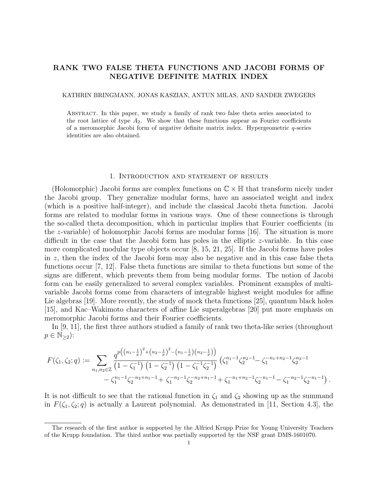# RANK TWO FALSE THETA FUNCTIONS AND JACOBI FORMS OF NEGATIVE DEFINITE MATRIX INDEX

#### KATHRIN BRINGMANN, JONAS KASZIAN, ANTUN MILAS, AND SANDER ZWEGERS

Abstract. In this paper, we study a family of rank two false theta series associated to the root lattice of type  $A_2$ . We show that these functions appear as Fourier coefficients of a meromorphic Jacobi form of negative definite matrix index. Hypergeometric q-series identities are also obtained.

#### 1. Introduction and statement of results

(Holomorphic) Jacobi forms are complex functions on  $\mathbb{C}\times\mathbb{H}$  that transform nicely under the Jacobi group. They generalize modular forms, have an associated weight and index (which is a positive half-integer), and include the classical Jacobi theta function. Jacobi forms are related to modular forms in various ways. One of these connections is through the so-called theta decomposition, which in particular implies that Fourier coefficients (in the z-variable) of holomorphic Jacobi forms are modular forms [16]. The situation is more difficult in the case that the Jacobi form has poles in the elliptic z-variable. In this case more complicated modular type objects occur [8, 15, 21, 25]. If the Jacobi forms have poles in  $z$ , then the index of the Jacobi form may also be negative and in this case false theta functions occur [7, 12]. False theta functions are similar to theta functions but some of the signs are different, which prevents them from being modular forms. The notion of Jacobi form can be easily generalized to several complex variables. Prominent examples of multivariable Jacobi forms come from characters of integrable highest weight modules for affine Lie algebras [19]. More recently, the study of mock theta functions [25], quantum black holes [15], and Kac–Wakimoto characters of affine Lie superalgebras [20] put more emphasis on meromorphic Jacobi forms and their Fourier coefficients.

In [9, 11], the first three authors studied a family of rank two theta-like series (throughout  $p \in \mathbb{N}_{\geq 2}$ :

$$
F(\zeta_1, \zeta_2; q) := \sum_{n_1, n_2 \in \mathbb{Z}} \frac{q^{p\left(\left(n_1 - \frac{1}{p}\right)^2 + \left(n_2 - \frac{1}{p}\right)^2 - \left(n_1 - \frac{1}{p}\right)\left(n_2 - \frac{1}{p}\right)\right)}}{-\zeta_1^{n_1 - 1} \zeta_2^{n_2 - 1} + \zeta_1^{n_1 - 1} \zeta_2^{n_2 - 1} + \zeta_1^{n_1 - 1} \zeta_2^{n_2 - 1} + \zeta_1^{n_1 - 1} \zeta_2^{n_2 - 1} + \zeta_1^{n_1 - 1} \zeta_2^{n_2 + n_1 - 1} + \zeta_1^{-n_1 + n_2 - 1} \zeta_2^{-n_1 - 1} - \zeta_1^{-n_2 - 1} \zeta_2^{-n_1 - 1}.
$$

It is not difficult to see that the rational function in  $\zeta_1$  and  $\zeta_2$  showing up as the summand in  $F(\zeta_1,\zeta_2;q)$  is actually a Laurent polynomial. As demonstrated in [11, Section 4.3], the

The research of the first author is supported by the Alfried Krupp Prize for Young University Teachers of the Krupp foundation. The third author was partially supported by the NSF grant DMS-1601070.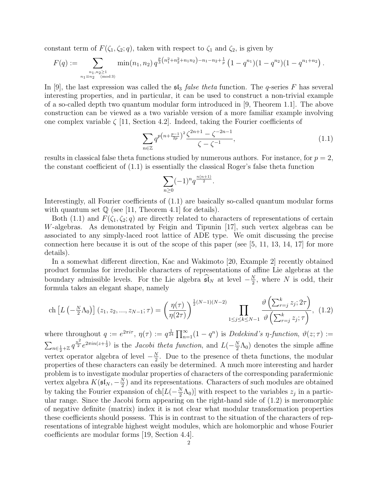constant term of  $F(\zeta_1, \zeta_2; q)$ , taken with respect to  $\zeta_1$  and  $\zeta_2$ , is given by

$$
F(q) := \sum_{\substack{n_1, n_2 \ge 1 \\ n_1 \equiv n_2 \pmod{3}}} \min(n_1, n_2) q^{\frac{p}{3}(n_1^2 + n_2^2 + n_1 n_2) - n_1 - n_2 + \frac{1}{p}} (1 - q^{n_1})(1 - q^{n_2})(1 - q^{n_1 + n_2}).
$$

In [9], the last expression was called the  $\mathfrak{sl}_3$  *false theta* function. The q-series F has several interesting properties, and in particular, it can be used to construct a non-trivial example of a so-called depth two quantum modular form introduced in [9, Theorem 1.1]. The above construction can be viewed as a two variable version of a more familiar example involving one complex variable  $\zeta$  [11, Section 4.2]. Indeed, taking the Fourier coefficients of

$$
\sum_{n\in\mathbb{Z}} q^{p\left(n+\frac{p-1}{2p}\right)^2} \frac{\zeta^{2n+1} - \zeta^{-2n-1}}{\zeta - \zeta^{-1}},\tag{1.1}
$$

results in classical false theta functions studied by numerous authors. For instance, for  $p = 2$ , the constant coefficient of  $(1.1)$  is essentially the classical Roger's false theta function

$$
\sum_{n\geq 0} (-1)^n q^{\frac{n(n+1)}{2}}.
$$

Interestingly, all Fourier coefficients of (1.1) are basically so-called quantum modular forms with quantum set  $\mathbb Q$  (see [11, Theorem 4.1] for details).

Both (1.1) and  $F(\zeta_1, \zeta_2; q)$  are directly related to characters of representations of certain W-algebras. As demonstrated by Feigin and Tipunin [17], such vertex algebras can be associated to any simply-laced root lattice of ADE type. We omit discussing the precise connection here because it is out of the scope of this paper (see  $[5, 11, 13, 14, 17]$  for more details).

In a somewhat different direction, Kac and Wakimoto [20, Example 2] recently obtained product formulas for irreducible characters of representations of affine Lie algebras at the boundary admissible levels. For the Lie algebra  $\widehat{\mathfrak{sl}}_N$  at level  $-\frac{N}{2}$  $\frac{N}{2}$ , where N is odd, their formula takes an elegant shape, namely

$$
\text{ch}\left[L\left(-\frac{N}{2}\Lambda_0\right)\right](z_1, z_2, ..., z_{N-1};\tau) = \left(\frac{\eta(\tau)}{\eta(2\tau)}\right)^{\frac{1}{2}(N-1)(N-2)} \prod_{1 \le j \le k \le N-1} \frac{\vartheta\left(\sum_{r=j}^k z_j; 2\tau\right)}{\vartheta\left(\sum_{r=j}^k z_j; \tau\right)}, (1.2)
$$

where throughout  $q := e^{2\pi i \tau}$ ,  $\eta(\tau) := q^{\frac{1}{24}} \prod_{n=1}^{\infty} (1 - q^n)$  is *Dedekind's*  $\eta$ -function,  $\vartheta(z; \tau) :=$  $\sum_{n\in\frac{1}{2}+\mathbb{Z}}q^{\frac{n^2}{2}}e^{2\pi in(z+\frac{1}{2})}$  is the *Jacobi theta function*, and  $L(-\frac{N}{2})$  $\frac{N}{2}\Lambda_0$  denotes the simple affine vertex operator algebra of level  $-\frac{N}{2}$  $\frac{N}{2}$ . Due to the presence of theta functions, the modular properties of these characters can easily be determined. A much more interesting and harder problem is to investigate modular properties of characters of the corresponding parafermionic vertex algebra  $K(\mathfrak{sl}_N, -\frac{N}{2})$  $(\frac{N}{2})$  and its representations. Characters of such modules are obtained by taking the Fourier expansion of  $ch[L(-\frac{N}{2})]$  $(\frac{N}{2}\Lambda_0)$  with respect to the variables  $z_j$  in a particular range. Since the Jacobi form appearing on the right-hand side of (1.2) is meromorphic of negative definite (matrix) index it is not clear what modular transformation properties these coefficients should possess. This is in contrast to the situation of the characters of representations of integrable highest weight modules, which are holomorphic and whose Fourier coefficients are modular forms [19, Section 4.4].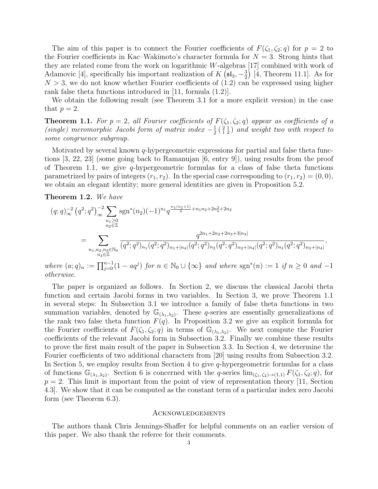The aim of this paper is to connect the Fourier coefficients of  $F(\zeta_1, \zeta_2; q)$  for  $p = 2$  to the Fourier coefficients in Kac–Wakimoto's character formula for  $N = 3$ . Strong hints that they are related come from the work on logarithmic W-algebras [17] combined with work of Adamovic [4], specifically his important realization of  $K(\mathfrak{sl}_3, -\frac{3}{2})$  $\frac{3}{2}$  [4, Theorem 11.1]. As for  $N > 3$ , we do not know whether Fourier coefficients of  $(1.2)$  can be expressed using higher rank false theta functions introduced in [11, formula (1.2)].

We obtain the following result (see Theorem 3.1 for a more explicit version) in the case that  $p=2$ .

**Theorem 1.1.** For  $p = 2$ , all Fourier coefficients of  $F(\zeta_1, \zeta_2; q)$  appear as coefficients of a (single) meromorphic Jacobi form of matrix index  $-\frac{1}{2}$  $\frac{1}{2}$  $(\frac{2}{1}$  $\frac{1}{2})$  and weight two with respect to some congruence subgroup.

Motivated by several known  $q$ -hypergeometric expressions for partial and false theta functions [3, 22, 23] (some going back to Ramanujan [6, entry 9]), using results from the proof of Theorem 1.1, we give  $q$ -hypergeometric formulas for a class of false theta functions parametrized by pairs of integers  $(r_1, r_2)$ . In the special case corresponding to  $(r_1, r_2) = (0, 0)$ , we obtain an elegant identity; more general identities are given in Proposition 5.2.

Theorem 1.2. We have

$$
(q;q)_{\infty}^{-2} (q^2;q^2)_{\infty}^{-2} \sum_{\substack{n_1 \geq 0 \\ n_2 \in \mathbb{Z}}} \operatorname{sgn}^*(n_2) (-1)^{n_1} q^{\frac{n_1(n_1+1)}{2} + n_1 n_2 + 2n_2^2 + 2n_2}
$$
  
= 
$$
\sum_{\substack{n_1,n_2,n_3 \in \mathbb{N}_0 \\ n_4 \in \mathbb{Z}}} \frac{q^{2n_1+2n_2+2n_3+3|n_4|}}{(q^2;q^2)_{n_1} (q^2;q^2)_{n_1+|n_4|} (q^2;q^2)_{n_2} (q^2;q^2)_{n_2+|n_4|} (q^2;q^2)_{n_3} (q^2;q^2)_{n_3+|n_4|}},
$$

where  $(a;q)_n := \prod_{j=0}^{n-1} (1 - aq^j)$  for  $n \in \mathbb{N}_0 \cup \{\infty\}$  and where  $sgn^*(n) := 1$  if  $n \geq 0$  and  $-1$ otherwise.

The paper is organized as follows. In Section 2, we discuss the classical Jacobi theta function and certain Jacobi forms in two variables. In Section 3, we prove Theorem 1.1 in several steps: In Subsection 3.1 we introduce a family of false theta functions in two summation variables, denoted by  $\mathbb{G}_{(\lambda_1,\lambda_2)}$ . These q-series are essentially generalizations of the rank two false theta function  $F(q)$ . In Proposition 3.2 we give an explicit formula for the Fourier coefficients of  $F(\zeta_1,\zeta_2;q)$  in terms of  $\mathbb{G}_{(\lambda_1,\lambda_2)}$ . We next compute the Fourier coefficients of the relevant Jacobi form in Subsection 3.2. Finally we combine these results to prove the first main result of the paper in Subsection 3.3. In Section 4, we determine the Fourier coefficients of two additional characters from [20] using results from Subsection 3.2. In Section 5, we employ results from Section 4 to give  $q$ -hypergeometric formulas for a class of functions  $\mathbb{G}_{(\lambda_1,\lambda_2)}$ . Section 6 is concerned with the q-series  $\lim_{(\zeta_1,\zeta_2)\to(1,1)} F(\zeta_1,\zeta_2;q)$ , for  $p = 2$ . This limit is important from the point of view of representation theory [11, Section 4.3]. We show that it can be computed as the constant term of a particular index zero Jacobi form (see Theorem 6.3).

#### **ACKNOWLEDGEMENTS**

The authors thank Chris Jennings-Shaffer for helpful comments on an earlier version of this paper. We also thank the referee for their comments.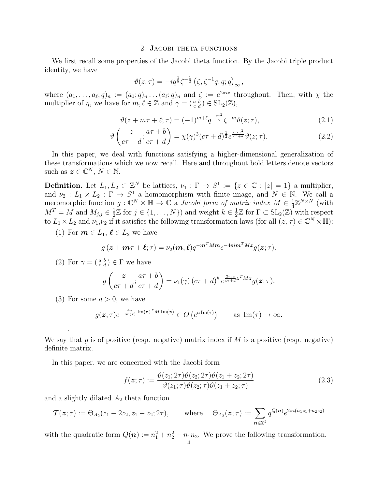### 2. Jacobi theta functions

We first recall some properties of the Jacobi theta function. By the Jacobi triple product identity, we have

$$
\vartheta(z;\tau) = -iq^{\frac{1}{8}}\zeta^{-\frac{1}{2}}\left(\zeta,\zeta^{-1}q,q;q\right)_{\infty},
$$

where  $(a_1, \ldots, a_\ell; q)_n := (a_1; q)_n \ldots (a_\ell; q)_n$  and  $\zeta := e^{2\pi i z}$  throughout. Then, with  $\chi$  the multiplier of  $\eta$ , we have for  $m, \ell \in \mathbb{Z}$  and  $\gamma = (\begin{smallmatrix} a & b \\ c & d \end{smallmatrix}) \in SL_2(\mathbb{Z}),$ 

$$
\vartheta(z + m\tau + \ell; \tau) = (-1)^{m+\ell} q^{-\frac{m^2}{2}} \zeta^{-m} \vartheta(z; \tau), \tag{2.1}
$$

$$
\vartheta\left(\frac{z}{c\tau+d};\frac{a\tau+b}{c\tau+d}\right) = \chi(\gamma)^3(c\tau+d)^{\frac{1}{2}}e^{\frac{\pi icz^2}{c\tau+d}}\vartheta(z;\tau).
$$
\n(2.2)

In this paper, we deal with functions satisfying a higher-dimensional generalization of these transformations which we now recall. Here and throughout bold letters denote vectors such as  $\boldsymbol{z} \in \mathbb{C}^N$ ,  $N \in \mathbb{N}$ .

**Definition.** Let  $L_1, L_2 \subset \mathbb{Z}^N$  be lattices,  $\nu_1 : \Gamma \to S^1 := \{z \in \mathbb{C} : |z| = 1\}$  a multiplier, and  $\nu_2: L_1 \times L_2: \Gamma \to S^1$  a homomorphism with finite image, and  $N \in \mathbb{N}$ . We call a meromorphic function  $g: \mathbb{C}^N \times \mathbb{H} \to \mathbb{C}$  a *Jacobi form of matrix index*  $M \in \frac{1}{4}$  $\frac{1}{4}\mathbb{Z}^{N\times N}$  (with  $M^T = M$  and  $M_{j,j} \in \frac{1}{2}$  $\frac{1}{2}\mathbb{Z}$  for  $j \in \{1, ..., N\}$  and weight  $k \in \frac{1}{2}$  $\frac{1}{2}\mathbb{Z}$  for  $\Gamma \subset SL_2(\mathbb{Z})$  with respect to  $L_1 \times L_2$  and  $\nu_1, \nu_2$  if it satisfies the following transformation laws (for all  $(z, \tau) \in \mathbb{C}^N \times \mathbb{H}$ ):

(1) For  $m \in L_1$ ,  $\ell \in L_2$  we have

$$
g(z + m\tau + \ell; \tau) = \nu_2(m, \ell) q^{-m^T M m} e^{-4\pi i m^T M z} g(z; \tau).
$$

(2) For  $\gamma = \begin{pmatrix} a & b \\ c & d \end{pmatrix} \in \Gamma$  we have

$$
g\left(\frac{z}{c\tau+d};\frac{a\tau+b}{c\tau+d}\right)=\nu_1(\gamma)\left(c\tau+d\right)^k e^{\frac{2\pi ic}{c\tau+d}z^T M z}g(z;\tau).
$$

(3) For some  $a > 0$ , we have

.

$$
g(\boldsymbol{z};\tau)e^{-\frac{4\pi}{\text{Im}(\tau)}\text{Im}(\boldsymbol{z})^T M \text{Im}(\boldsymbol{z})} \in O\left(e^{a\text{Im}(\tau)}\right) \quad \text{as } \text{Im}(\tau) \to \infty.
$$

We say that q is of positive (resp. negative) matrix index if  $M$  is a positive (resp. negative) definite matrix.

In this paper, we are concerned with the Jacobi form

$$
f(\boldsymbol{z};\tau) := \frac{\vartheta(z_1; 2\tau)\vartheta(z_2; 2\tau)\vartheta(z_1+z_2; 2\tau)}{\vartheta(z_1;\tau)\vartheta(z_2;\tau)\vartheta(z_1+z_2;\tau)}
$$
(2.3)

and a slightly dilated  $A_2$  theta function

$$
\mathcal{T}(\boldsymbol{z};\tau) := \Theta_{A_2}(z_1 + 2z_2, z_1 - z_2; 2\tau), \quad \text{where} \quad \Theta_{A_2}(\boldsymbol{z};\tau) := \sum_{\boldsymbol{n} \in \mathbb{Z}^2} q^{Q(\boldsymbol{n})} e^{2\pi i (n_1 z_1 + n_2 z_2)}
$$

with the quadratic form  $Q(n) := n_1^2 + n_2^2 - n_1 n_2$ . We prove the following transformation.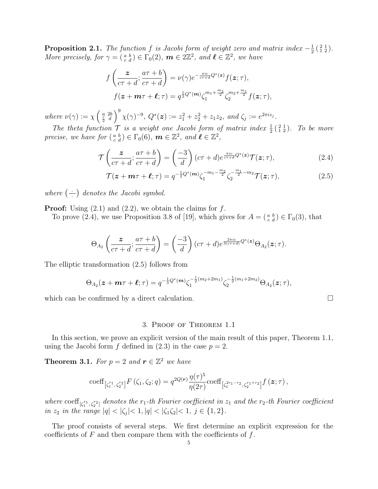**Proposition 2.1.** The function f is Jacobi form of weight zero and matrix index  $-\frac{1}{2}$  $\frac{1}{2}(\begin{smallmatrix} 2 & 1 \\ 1 & 2 \end{smallmatrix}).$ More precisely, for  $\gamma = \begin{pmatrix} a & b \\ c & d \end{pmatrix} \in \Gamma_0(2)$ ,  $m \in 2\mathbb{Z}^2$ , and  $\ell \in \mathbb{Z}^2$ , we have

$$
f\left(\frac{z}{c\tau+d};\frac{a\tau+b}{c\tau+d}\right) = \nu(\gamma)e^{-\frac{\pi ic}{c\tau+d}}Q^*(z)f(z;\tau),
$$
  

$$
f(z+m\tau+\ell;\tau) = q^{\frac{1}{2}Q^*(m)}\zeta_1^{m_1+\frac{m_2}{2}}\zeta_2^{m_2+\frac{m_1}{2}}f(z;\tau),
$$

where  $\nu(\gamma) := \chi \left( \frac{a}{2} \frac{2b}{d} \right)^9 \chi(\gamma)^{-9}, \ Q^*(\mathbf{z}) := z_1^2 + z_2^2 + z_1 z_2, \text{ and } \zeta_j := e^{2\pi i z_j}.$ 

The theta function  $\mathcal T$  is a weight one Jacobi form of matrix index  $\frac{1}{2}$  ( $\frac{2}{12}$ ). To be more precise, we have for  $\left(\begin{smallmatrix} a & b \\ c & d \end{smallmatrix}\right) \in \Gamma_0(6)$ ,  $\boldsymbol{m} \in \mathbb{Z}^2$ , and  $\boldsymbol{\ell} \in \mathbb{Z}^2$ ,

$$
\mathcal{T}\left(\frac{z}{c\tau+d};\frac{a\tau+b}{c\tau+d}\right) = \left(\frac{-3}{d}\right)(c\tau+d)e^{\frac{\pi ic}{c\tau+d}Q^*(z)}\mathcal{T}(z;\tau),\tag{2.4}
$$

$$
\mathcal{T}(\boldsymbol{z} + \boldsymbol{m}\tau + \boldsymbol{\ell}; \tau) = q^{-\frac{1}{2}Q^*(\boldsymbol{m})} \zeta_1^{-m_1 - \frac{m_2}{2}} \zeta_2^{-\frac{m_1}{2} - m_2} \mathcal{T}(\boldsymbol{z}; \tau), \tag{2.5}
$$

where  $\left(\frac{\cdot}{\cdot}\right)$  $\left(\frac{1}{n}\right)$  denotes the Jacobi symbol.

**Proof:** Using  $(2.1)$  and  $(2.2)$ , we obtain the claims for f.

To prove (2.4), we use Proposition 3.8 of [19], which gives for  $A = \begin{pmatrix} a & b \\ c & d \end{pmatrix} \in \Gamma_0(3)$ , that

$$
\Theta_{A_2}\left(\frac{z}{c\tau+d};\frac{a\tau+b}{c\tau+d}\right)=\left(\frac{-3}{d}\right)(c\tau+d)e^{\frac{2\pi ic}{3(c\tau+d)}Q^*(z)}\Theta_{A_2}(z;\tau).
$$

The elliptic transformation (2.5) follows from

$$
\Theta_{A_2}(\boldsymbol{z}+\boldsymbol{m}\tau+\boldsymbol{\ell};\tau)=q^{-\frac{1}{3}Q^*(\boldsymbol{m})}\zeta_1^{-\frac{1}{2}(m_2+2m_1)}\zeta_2^{-\frac{1}{2}(m_1+2m_2)}\Theta_{A_2}(\boldsymbol{z};\tau),
$$

which can be confirmed by a direct calculation.

#### 3. Proof of Theorem 1.1

In this section, we prove an explicit version of the main result of this paper, Theorem 1.1, using the Jacobi form f defined in  $(2.3)$  in the case  $p = 2$ .

**Theorem 3.1.** For  $p = 2$  and  $r \in \mathbb{Z}^2$  we have

$$
\mathrm{coeff}_{\left[\zeta_1^{r_1},\zeta_2^{r_2}\right]}F\left(\zeta_1,\zeta_2;q\right)=q^{2Q(r)}\frac{\eta(\tau)^5}{\eta(2\tau)}\mathrm{coeff}_{\left[\zeta_1^{2r_1-r_2},\zeta_2^{r_1+r_2}\right]}f\left(\boldsymbol{z};\tau\right),
$$

where  $\text{coeff}_{[\zeta_1^{r_1},\zeta_2^{r_2}]}$  denotes the r<sub>1</sub>-th Fourier coefficient in  $z_1$  and the r<sub>2</sub>-th Fourier coefficient in  $z_2$  in the range  $|q| < |\zeta_j| < 1, |q| < |\zeta_1 \zeta_2| < 1, j \in \{1, 2\}.$ 

The proof consists of several steps. We first determine an explicit expression for the coefficients of  $F$  and then compare them with the coefficients of  $f$ .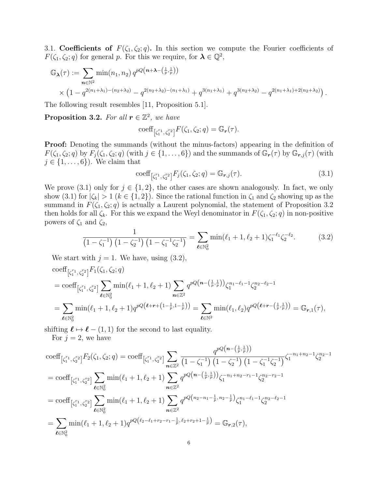3.1. Coefficients of  $F(\zeta_1, \zeta_2; q)$ . In this section we compute the Fourier coefficients of  $F(\zeta_1, \zeta_2; q)$  for general p. For this we require, for  $\lambda \in \mathbb{Q}^2$ ,

$$
\mathbb{G}_{\lambda}(\tau) := \sum_{n \in \mathbb{N}^2} \min(n_1, n_2) q^{pQ(n + \lambda - (\frac{1}{p}, \frac{1}{p}))}
$$
  
 
$$
\times (1 - q^{2(n_1 + \lambda_1) - (n_2 + \lambda_2)} - q^{2(n_2 + \lambda_2) - (n_1 + \lambda_1)} + q^{3(n_1 + \lambda_1)} + q^{3(n_2 + \lambda_2)} - q^{2(n_1 + \lambda_1) + 2(n_2 + \lambda_2)}).
$$

The following result resembles [11, Proposition 5.1].

**Proposition 3.2.** For all  $r \in \mathbb{Z}^2$ , we have

$$
\mathrm{coeff}_{\left[\zeta_1^{r_1},\zeta_2^{r_2}\right]}F(\zeta_1,\zeta_2;q)=\mathbb{G}_r(\tau).
$$

Proof: Denoting the summands (without the minus-factors) appearing in the definition of  $F(\zeta_1,\zeta_2;q)$  by  $F_i(\zeta_1,\zeta_2;q)$  (with  $j\in\{1,\ldots,6\}$ ) and the summands of  $\mathbb{G}_r(\tau)$  by  $\mathbb{G}_{r,j}(\tau)$  (with  $j \in \{1, \ldots, 6\}$ . We claim that

$$
\text{coeff}_{\left[\zeta_1^{r_1}, \zeta_2^{r_2}\right]} F_j(\zeta_1, \zeta_2; q) = \mathbb{G}_{r,j}(\tau). \tag{3.1}
$$

We prove (3.1) only for  $j \in \{1,2\}$ , the other cases are shown analogously. In fact, we only show (3.1) for  $|\zeta_k| > 1$   $(k \in \{1,2\})$ . Since the rational function in  $\zeta_1$  and  $\zeta_2$  showing up as the summand in  $F(\zeta_1, \zeta_2; q)$  is actually a Laurent polynomial, the statement of Proposition 3.2 then holds for all  $\zeta_k$ . For this we expand the Weyl denominator in  $F(\zeta_1, \zeta_2; q)$  in non-positive powers of  $\zeta_1$  and  $\zeta_2$ ,

$$
\frac{1}{\left(1-\zeta_1^{-1}\right)\left(1-\zeta_2^{-1}\right)\left(1-\zeta_1^{-1}\zeta_2^{-1}\right)} = \sum_{\ell \in \mathbb{N}_0^2} \min(\ell_1+1,\ell_2+1)\zeta_1^{-\ell_1}\zeta_2^{-\ell_2}.\tag{3.2}
$$

We start with  $j = 1$ . We have, using  $(3.2)$ ,

$$
\begin{split} &\text{coeff}_{\left[\zeta_{1}^{r_{1}},\zeta_{2}^{r_{2}}\right]}F_{1}(\zeta_{1},\zeta_{2};q) \\ &=\text{coeff}_{\left[\zeta_{1}^{r_{1}},\zeta_{2}^{r_{2}}\right]} \sum_{\ell\in\mathbb{N}_{0}^{2}} \min(\ell_{1}+1,\ell_{2}+1) \sum_{n\in\mathbb{Z}^{2}} q^{pQ\left(n-\left(\frac{1}{p},\frac{1}{p}\right)\right)} \zeta_{1}^{n_{1}-\ell_{1}-1} \zeta_{2}^{n_{2}-\ell_{2}-1} \\ &=\sum_{\ell\in\mathbb{N}_{0}^{2}} \min(\ell_{1}+1,\ell_{2}+1) q^{pQ\left(\ell+r+\left(1-\frac{1}{p},1-\frac{1}{p}\right)\right)} = \sum_{\ell\in\mathbb{N}^{2}} \min(\ell_{1},\ell_{2}) q^{pQ\left(\ell+r-\left(\frac{1}{p},\frac{1}{p}\right)\right)} = \mathbb{G}_{r,1}(\tau), \end{split}
$$

shifting  $\ell \mapsto \ell - (1, 1)$  for the second to last equality.

For  $j = 2$ , we have

$$
\begin{split}\n&\text{coeff}_{\left[\zeta_{1}^{r_{1}},\zeta_{2}^{r_{2}}\right]}F_{2}(\zeta_{1},\zeta_{2};q) = \text{coeff}_{\left[\zeta_{1}^{r_{1}},\zeta_{2}^{r_{2}}\right]} \sum_{n\in\mathbb{Z}^{2}} \frac{q^{pQ\left(n-\left(\frac{1}{p},\frac{1}{p}\right)\right)}}{(1-\zeta_{1}^{-1})\left(1-\zeta_{2}^{-1}\right)\left(1-\zeta_{1}^{-1}\zeta_{2}^{-1}\right)}\zeta_{1}^{-n_{1}+n_{2}-1}\zeta_{2}^{n_{2}-1} \\
&=\text{coeff}_{\left[\zeta_{1}^{r_{1}},\zeta_{2}^{r_{2}}\right]} \sum_{\ell\in\mathbb{N}_{0}^{2}} \min(\ell_{1}+1,\ell_{2}+1) \sum_{n\in\mathbb{Z}^{2}} q^{pQ\left(n-\left(\frac{1}{p},\frac{1}{p}\right)\right)}\zeta_{1}^{-n_{1}+n_{2}-r_{1}-1}\zeta_{2}^{n_{2}-r_{2}-1} \\
&=\text{coeff}_{\left[\zeta_{1}^{r_{1}},\zeta_{2}^{r_{2}}\right]} \sum_{\ell\in\mathbb{N}_{0}^{2}} \min(\ell_{1}+1,\ell_{2}+1) \sum_{n\in\mathbb{Z}^{2}} q^{pQ\left(n_{2}-n_{1}-\frac{1}{p},n_{2}-\frac{1}{p}\right)}\zeta_{1}^{n_{1}-\ell_{1}-1}\zeta_{2}^{n_{2}-\ell_{2}-1} \\
&=\sum_{\ell\in\mathbb{N}_{0}^{2}} \min(\ell_{1}+1,\ell_{2}+1) q^{pQ\left(\ell_{2}-\ell_{1}+r_{2}-r_{1}-\frac{1}{p},\ell_{2}+r_{2}+1-\frac{1}{p}\right)} = \mathbb{G}_{r,2}(\tau),\n\end{split}
$$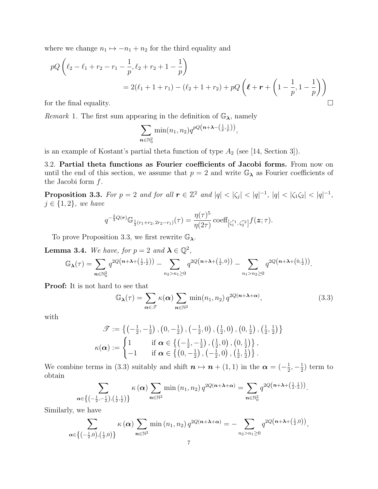where we change  $n_1 \mapsto -n_1 + n_2$  for the third equality and

$$
pQ\left(\ell_2 - \ell_1 + r_2 - r_1 - \frac{1}{p}, \ell_2 + r_2 + 1 - \frac{1}{p}\right)
$$
  
= 2(\ell\_1 + 1 + r\_1) - (\ell\_2 + 1 + r\_2) + pQ\left(\ell + r + \left(1 - \frac{1}{p}, 1 - \frac{1}{p}\right)\right)

*Remark* 1. The first sum appearing in the definition of  $\mathbb{G}_{\lambda}$ , namely

$$
\sum_{n \in \mathbb{N}_0^2} \min(n_1, n_2) q^{pQ(n + \lambda - (\frac{1}{p}, \frac{1}{p}))},
$$

is an example of Kostant's partial theta function of type  $A_2$  (see [14, Section 3]).

3.2. Partial theta functions as Fourier coefficients of Jacobi forms. From now on until the end of this section, we assume that  $p = 2$  and write  $\mathbb{G}_{\lambda}$  as Fourier coefficients of the Jacobi form  $f$ .

**Proposition 3.3.** For  $p = 2$  and for all  $r \in \mathbb{Z}^2$  and  $|q| < |\zeta_j| < |q|^{-1}$ ,  $|q| < |\zeta_1 \zeta_2| < |q|^{-1}$ ,  $j \in \{1,2\}$ , we have

$$
q^{-\frac{2}{3}Q(\bm{r})}\mathbb{G}_{\frac{1}{3}(r_1+r_2, 2r_2-r_1)}(\tau)=\frac{\eta(\tau)^5}{\eta(2\tau)}\,\text{coeff}_{\left[\zeta_1^{r_1}, \zeta_2^{r_2}\right]}f(\bm{z};\tau).
$$

To prove Proposition 3.3, we first rewrite  $\mathbb{G}_{\lambda}$ .

**Lemma 3.4.** We have, for  $p = 2$  and  $\lambda \in \mathbb{Q}^2$ ,

$$
\mathbb{G}_{\lambda}(\tau) = \sum_{n \in \mathbb{N}_0^2} q^{2Q(n + \lambda + (\frac{1}{2}, \frac{1}{2}))} - \sum_{n_2 > n_1 \ge 0} q^{2Q(n + \lambda + (\frac{1}{2}, 0))} - \sum_{n_1 > n_2 \ge 0} q^{2Q(n + \lambda + (0, \frac{1}{2}))}.
$$

Proof: It is not hard to see that

$$
\mathbb{G}_{\lambda}(\tau) = \sum_{\alpha \in \mathcal{F}} \kappa(\alpha) \sum_{n \in \mathbb{N}^2} \min(n_1, n_2) q^{2Q(n + \lambda + \alpha)}, \tag{3.3}
$$

with

$$
\mathscr{T} := \left\{ \left( -\frac{1}{2}, -\frac{1}{2} \right), \left( 0, -\frac{1}{2} \right), \left( -\frac{1}{2}, 0 \right), \left( \frac{1}{2}, 0 \right), \left( 0, \frac{1}{2} \right), \left( \frac{1}{2}, \frac{1}{2} \right) \right\}
$$
\n
$$
\kappa(\boldsymbol{\alpha}) := \begin{cases} 1 & \text{if } \boldsymbol{\alpha} \in \left\{ \left( -\frac{1}{2}, -\frac{1}{2} \right), \left( \frac{1}{2}, 0 \right), \left( 0, \frac{1}{2} \right) \right\}, \\ -1 & \text{if } \boldsymbol{\alpha} \in \left\{ \left( 0, -\frac{1}{2} \right), \left( -\frac{1}{2}, 0 \right), \left( \frac{1}{2}, \frac{1}{2} \right) \right\}. \end{cases}
$$

We combine terms in (3.3) suitably and shift  $n \mapsto n + (1, 1)$  in the  $\alpha = \left(-\frac{1}{2}\right)$  $\frac{1}{2}, -\frac{1}{2}$  $(\frac{1}{2})$  term to obtain

$$
\sum_{\alpha \in \left\{ \left(-\frac{1}{2},-\frac{1}{2}\right),\left(\frac{1}{2},\frac{1}{2}\right)\right\}} \kappa \left(\alpha\right) \sum_{n \in \mathbb{N}^2} \min\left(n_1,n_2\right) q^{2Q(n+\lambda+\alpha)} = \sum_{n \in \mathbb{N}_0^2} q^{2Q(n+\lambda+\left(\frac{1}{2},\frac{1}{2}\right))}.
$$

Similarly, we have

$$
\sum_{\alpha \in \left\{(-\frac{1}{2},0),(\frac{1}{2},0)\right\}} \kappa(\alpha) \sum_{n \in \mathbb{N}^2} \min(n_1, n_2) q^{2Q(n+\lambda+\alpha)} = - \sum_{n_2 > n_1 \ge 0} q^{2Q(n+\lambda+(\frac{1}{2},0))},
$$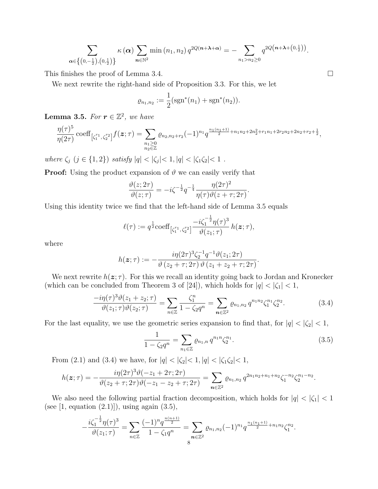$$
\sum_{\alpha \in \left\{\left(0, -\frac{1}{2}\right), \left(0, \frac{1}{2}\right)\right\}} \kappa \left(\alpha\right) \sum_{n \in \mathbb{N}^2} \min\left(n_1, n_2\right) q^{2Q(n+\lambda+\alpha)} = -\sum_{n_1 > n_2 \geq 0} q^{2Q(n+\lambda+\left(0, \frac{1}{2}\right))}.
$$

This finishes the proof of Lemma 3.4.

We next rewrite the right-hand side of Proposition 3.3. For this, we let

$$
\varrho_{n_1,n_2} := \frac{1}{2} (\text{sgn}^*(n_1) + \text{sgn}^*(n_2)).
$$

**Lemma 3.5.** For  $r \in \mathbb{Z}^2$ , we have

$$
\frac{\eta(\tau)^5}{\eta(2\tau)}\operatorname{coeff}_{\left[\zeta_1^{r_1},\zeta_2^{r_2}\right]}f(\boldsymbol{z};\tau)=\sum_{\substack{n_1\geq 0\\n_2\in\mathbb{Z}}} \varrho_{n_2,n_2+r_2}(-1)^{n_1}q^{\frac{n_1(n_1+1)}{2}+n_1n_2+2n_2^2+r_1n_1+2r_2n_2+2n_2+r_2+\frac{1}{2}},
$$

where  $\zeta_j$   $(j \in \{1,2\})$  satisfy  $|q| < |\zeta_j| < 1, |q| < |\zeta_1 \zeta_2| < 1$ .

**Proof:** Using the product expansion of  $\vartheta$  we can easily verify that

$$
\frac{\vartheta(z;2\tau)}{\vartheta(z;\tau)} = -i\zeta^{-\frac{1}{2}}q^{-\frac{1}{4}}\frac{\eta(2\tau)^2}{\eta(\tau)\vartheta(z+\tau;2\tau)}.
$$

Using this identity twice we find that the left-hand side of Lemma 3.5 equals

$$
\ell(\tau) := q^{\frac{1}{2}} \text{coeff}_{\left[\zeta_1^{r_1}, \zeta_2^{r_2}\right]} \frac{-i \zeta_1^{-\frac{1}{2}} \eta(\tau)^3}{\vartheta(z_1; \tau)} h(\boldsymbol{z}; \tau),
$$

where

$$
h(\boldsymbol{z};\tau) := -\frac{i\eta(2\tau)^3 \zeta_2^{-1} q^{-1} \vartheta(z_1; 2\tau)}{\vartheta(z_2 + \tau; 2\tau) \vartheta(z_1 + z_2 + \tau; 2\tau)}.
$$

We next rewrite  $h(z;\tau)$ . For this we recall an identity going back to Jordan and Kronecker (which can be concluded from Theorem 3 of [24]), which holds for  $|q| < |\zeta_1| < 1$ ,

$$
\frac{-i\eta(\tau)^3\vartheta(z_1+z_2;\tau)}{\vartheta(z_1;\tau)\vartheta(z_2;\tau)} = \sum_{n\in\mathbb{Z}} \frac{\zeta_1^n}{1-\zeta_2 q^n} = \sum_{n\in\mathbb{Z}^2} \varrho_{n_1,n_2} q^{n_1n_2} \zeta_1^{n_1} \zeta_2^{n_2}.
$$
 (3.4)

For the last equality, we use the geometric series expansion to find that, for  $|q| < |\zeta_2| < 1$ ,

$$
\frac{1}{1 - \zeta_2 q^n} = \sum_{n_1 \in \mathbb{Z}} \varrho_{n_1, n} q^{n_1 n} \zeta_2^{n_1}.
$$
\n(3.5)

From (2.1) and (3.4) we have, for  $|q| < |\zeta_2| < 1, |q| < |\zeta_1 \zeta_2| < 1$ ,

$$
h(z;\tau) = -\frac{i\eta(2\tau)^3\vartheta(-z_1+2\tau;2\tau)}{\vartheta(z_2+\tau;2\tau)\vartheta(-z_1-z_2+\tau;2\tau)} = \sum_{n\in\mathbb{Z}^2} \varrho_{n_1,n_2} q^{2n_1n_2+n_1+n_2} \zeta_1^{-n_2} \zeta_2^{n_1-n_2}.
$$

We also need the following partial fraction decomposition, which holds for  $|q| < |\zeta_1| < 1$ (see  $[1, \text{ equation } (2.1)]$ ), using again  $(3.5)$ ,

$$
-\frac{i\zeta_1^{-\frac{1}{2}}\eta(\tau)^3}{\vartheta(z_1;\tau)}=\sum_{n\in\mathbb{Z}}\frac{(-1)^nq^{\frac{n(n+1)}{2}}}{1-\zeta_1q^n}=\sum_{n\in\mathbb{Z}^2}\varrho_{n_1,n_2}(-1)^{n_1}q^{\frac{n_1(n_1+1)}{2}+n_1n_2}\zeta_1^{n_2}.
$$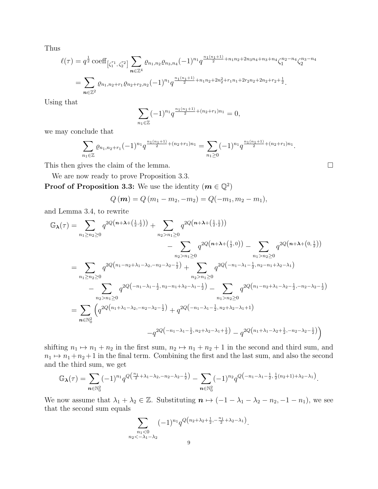Thus

$$
\ell(\tau) = q^{\frac{1}{2}} \operatorname{coeff}_{\left[\zeta_1^{r_1}, \zeta_2^{r_2}\right]} \sum_{n \in \mathbb{Z}^4} \varrho_{n_1, n_2} \varrho_{n_3, n_4} (-1)^{n_1} q^{\frac{n_1(n_1+1)}{2} + n_1 n_2 + 2n_3 n_4 + n_3 + n_4} \zeta_1^{n_2 - n_4} \zeta_2^{n_3 - n_4}
$$
  
= 
$$
\sum_{n \in \mathbb{Z}^2} \varrho_{n_1, n_2 + r_1} \varrho_{n_2 + r_2, n_2} (-1)^{n_1} q^{\frac{n_1(n_1+1)}{2} + n_1 n_2 + 2n_2^2 + r_1 n_1 + 2r_2 n_2 + 2n_2 + r_2 + \frac{1}{2}}.
$$

Using that

$$
\sum_{n_1 \in \mathbb{Z}} (-1)^{n_1} q^{\frac{n_1(n_1+1)}{2} + (n_2+r_1)n_1} = 0,
$$

we may conclude that

$$
\sum_{n_1 \in \mathbb{Z}} \varrho_{n_1, n_2 + r_1} (-1)^{n_1} q^{\frac{n_1(n_1+1)}{2} + (n_2 + r_1)n_1} = \sum_{n_1 \geq 0} (-1)^{n_1} q^{\frac{n_1(n_1+1)}{2} + (n_2 + r_1)n_1}.
$$

This then gives the claim of the lemma.

We are now ready to prove Proposition 3.3.

**Proof of Proposition 3.3:** We use the identity  $(m \in \mathbb{Q}^2)$ 

$$
Q(\mathbf{m}) = Q(m_1 - m_2, -m_2) = Q(-m_1, m_2 - m_1),
$$

and Lemma 3.4, to rewrite

$$
\mathbb{G}_{\lambda}(\tau) = \sum_{n_1 \ge n_2 \ge 0} q^{2Q(n+\lambda + (\frac{1}{2},\frac{1}{2}))} + \sum_{n_2 > n_1 \ge 0} q^{2Q(n+\lambda + (\frac{1}{2},\frac{1}{2}))} \n- \sum_{n_2 > n_1 \ge 0} q^{2Q(n+\lambda + (\frac{1}{2},0))} - \sum_{n_1 > n_2 \ge 0} q^{2Q(n+\lambda + (0,\frac{1}{2}))} \n= \sum_{n_1 \ge n_2 \ge 0} q^{2Q(n_1-n_2+\lambda_1-\lambda_2,-n_2-\lambda_2-\frac{1}{2})} + \sum_{n_2 > n_1 \ge 0} q^{2Q(-n_1-\lambda_1-\frac{1}{2},n_2-n_1+\lambda_2-\lambda_1)} \n- \sum_{n_2 > n_1 \ge 0} q^{2Q(-n_1-\lambda_1-\frac{1}{2},n_2-n_1+\lambda_2-\lambda_1-\frac{1}{2})} - \sum_{n_1 > n_2 \ge 0} q^{2Q(n_1-n_2+\lambda_1-\lambda_2-\frac{1}{2},-n_2-\lambda_2-\frac{1}{2})} \n= \sum_{n \in \mathbb{N}_0^2} \left( q^{2Q(n_1+\lambda_1-\lambda_2,-n_2-\lambda_2-\frac{1}{2})} + q^{2Q(-n_1-\lambda_1-\frac{1}{2},n_2+\lambda_2-\lambda_1+1)} - q^{2Q(n_1+\lambda_1-\lambda_2+\frac{1}{2},-n_2-\lambda_2-\frac{1}{2})} \right)
$$

shifting  $n_1 \mapsto n_1 + n_2$  in the first sum,  $n_2 \mapsto n_1 + n_2 + 1$  in the second and third sum, and  $n_1 \mapsto n_1 + n_2 + 1$  in the final term. Combining the first and the last sum, and also the second and the third sum, we get

$$
\mathbb{G}_{\lambda}(\tau) = \sum_{n \in \mathbb{N}_0^2} (-1)^{n_1} q^{Q\left(\frac{n_1}{2} + \lambda_1 - \lambda_2, -n_2 - \lambda_2 - \frac{1}{2}\right)} - \sum_{n \in \mathbb{N}_0^2} (-1)^{n_2} q^{Q\left(-n_1 - \lambda_1 - \frac{1}{2}, \frac{1}{2}(n_2 + 1) + \lambda_2 - \lambda_1\right)}.
$$

We now assume that  $\lambda_1 + \lambda_2 \in \mathbb{Z}$ . Substituting  $n \mapsto (-1 - \lambda_1 - \lambda_2 - n_2, -1 - n_1)$ , we see that the second sum equals

$$
\sum_{\substack{n_1 < 0 \\ n_2 < -\lambda_1 - \lambda_2}} (-1)^{n_1} q^{Q(n_2 + \lambda_2 + \frac{1}{2}, -\frac{n_1}{2} + \lambda_2 - \lambda_1)}
$$

.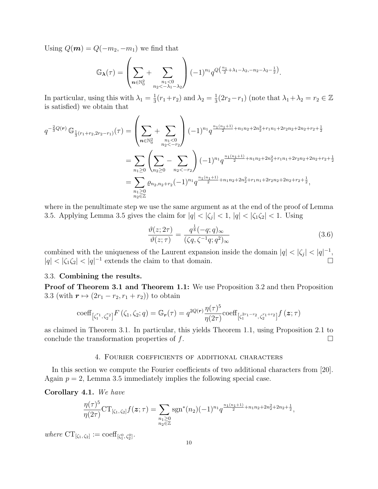Using  $Q(m) = Q(-m_2, -m_1)$  we find that

$$
\mathbb{G}_{\lambda}(\tau) = \left(\sum_{n \in \mathbb{N}_0^2} + \sum_{\substack{n_1 < 0 \\ n_2 < -\lambda_1 - \lambda_2}} (-1)^{n_1} q^{Q\left(\frac{n_1}{2} + \lambda_1 - \lambda_2, -n_2 - \lambda_2 - \frac{1}{2}\right)}.
$$

In particular, using this with  $\lambda_1 = \frac{1}{3}$  $\frac{1}{3}(r_1+r_2)$  and  $\lambda_2 = \frac{1}{3}$  $\frac{1}{3}(2r_2-r_1)$  (note that  $\lambda_1 + \lambda_2 = r_2 \in \mathbb{Z}$ is satisfied) we obtain that

$$
q^{-\frac{2}{3}Q(r)} \mathbb{G}_{\frac{1}{3}(r_1+r_2,2r_2-r_1)}(\tau) = \left(\sum_{n\in\mathbb{N}_0^2} + \sum_{\substack{n_1<0\\n_2<-r_2}}\right) (-1)^{n_1} q^{\frac{n_1(n_1+1)}{2}+n_1n_2+2n_2^2+r_1n_1+2r_2n_2+2n_2+r_2+\frac{1}{2}}\n= \sum_{n_1\geq 0} \left(\sum_{n_2\geq 0} - \sum_{n_2<-r_2}\right) (-1)^{n_1} q^{\frac{n_1(n_1+1)}{2}+n_1n_2+2n_2^2+r_1n_1+2r_2n_2+2n_2+r_2+\frac{1}{2}}\n= \sum_{\substack{n_1\geq 0\\n_2\in\mathbb{Z}}} \varrho_{n_2,n_2+r_2}(-1)^{n_1} q^{\frac{n_1(n_1+1)}{2}+n_1n_2+2n_2^2+r_1n_1+2r_2n_2+2n_2+r_2+\frac{1}{2}}\n, \qquad (2n_1+1)^{n_1} q^{\frac{n_1(n_1+1)}{2}+n_1n_2+2n_2^2+r_1n_1+2r_2n_2+2n_2+r_2+\frac{1}{2}}\n, \qquad (3n_1+1)^{n_1} q^{\frac{n_1(n_1+1)}{2}+n_1n_2+2n_2^2+r_1n_1+2r_2n_2+2n_2+r_2+\frac{1}{2}}\n= \sum_{\substack{n_1\geq 0\\n_2\in\mathbb{Z}}} \varrho_{n_2,n_2+r_2}(-1)^{n_1} q^{\frac{n_1(n_1+1)}{2}+n_1n_2+2n_2^2+r_1n_1+2r_2n_2+2n_2+r_2+\frac{1}{2}}\n, \qquad (4n_1+1)^{n_1} q^{\frac{n_1(n_1+1)}{2}+n_1n_2+2n_2^2+r_1n_1+2r_2n_2+2n_2+r_2+\frac{1}{2}}\n, \qquad (5n_1+1)^{n_1} q^{\frac{n_1(n_1+1)}{2}+n_1
$$

where in the penultimate step we use the same argument as at the end of the proof of Lemma 3.5. Applying Lemma 3.5 gives the claim for  $|q| < |\zeta_j| < 1$ ,  $|q| < |\zeta_1\zeta_2| < 1$ . Using

$$
\frac{\vartheta(z;2\tau)}{\vartheta(z;\tau)} = \frac{q^{\frac{1}{8}}(-q;q)_{\infty}}{(\zeta q,\zeta^{-1}q;q^2)_{\infty}}
$$
\n(3.6)

combined with the uniqueness of the Laurent expansion inside the domain  $|q| < |\zeta_j| < |q|^{-1}$ ,  $|q| < |\zeta_1 \zeta_2| < |q|^{-1}$  extends the claim to that domain. −1 extends the claim to that domain.

## 3.3. Combining the results.

Proof of Theorem 3.1 and Theorem 1.1: We use Proposition 3.2 and then Proposition 3.3 (with  $r \mapsto (2r_1 - r_2, r_1 + r_2)$ ) to obtain

coeff
$$
_{[\zeta_1^{r_1}, \zeta_2^{r_2}]} F(\zeta_1, \zeta_2; q) = \mathbb{G}_r(\tau) = q^{2Q(r)} \frac{\eta(\tau)^5}{\eta(2\tau)} \text{coeff}_{[\zeta_1^{2r_1-r_2}, \zeta_2^{r_1+r_2}]} f(z; \tau)
$$

as claimed in Theorem 3.1. In particular, this yields Theorem 1.1, using Proposition 2.1 to conclude the transformation properties of  $f$ .

### 4. Fourier coefficients of additional characters

In this section we compute the Fourier coefficients of two additional characters from [20]. Again  $p = 2$ , Lemma 3.5 immediately implies the following special case.

Corollary 4.1. We have

$$
\frac{\eta(\tau)^5}{\eta(2\tau)}\mathrm{CT}_{[\zeta_1,\zeta_2]}f(\boldsymbol{z};\tau)=\sum_{\substack{n_1\geq 0\\n_2\in\mathbb{Z}}} \mathrm{sgn}^*(n_2)(-1)^{n_1}q^{\frac{n_1(n_1+1)}{2}+n_1n_2+2n_2^2+2n_2+\frac{1}{2}},
$$

where  $CT_{[\zeta_1,\zeta_2]} := \text{coeff}_{[\zeta_1^0,\zeta_2^0]}$ .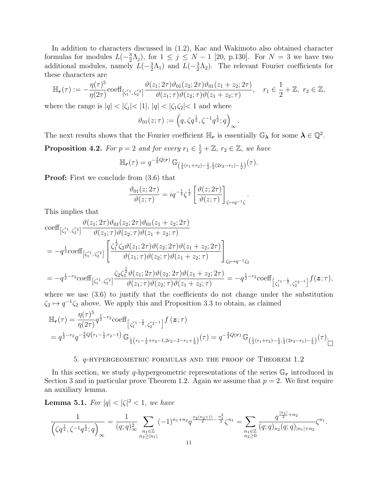In addition to characters discussed in (1.2), Kac and Wakimoto also obtained character formulas for modules  $L(-\frac{3}{2})$  $(\frac{3}{2}\Lambda_j)$ , for  $1 \leq j \leq N-1$  [20, p.130]. For  $N=3$  we have two additional modules, namely  $L(-\frac{3}{2})$  $(\frac{3}{2}\Lambda_1)$  and  $L(-\frac{3}{2})$  $\frac{3}{2}\Lambda_2$ ). The relevant Fourier coefficients for these characters are

$$
\mathbb{H}_{r}(\tau) := -\frac{\eta(\tau)^{5}}{\eta(2\tau)} \text{coeff}_{\left[\zeta_{1}^{r_{1}}, \zeta_{2}^{r_{2}}\right]} \frac{\vartheta(z_{1}; 2\tau)\vartheta_{01}(z_{2}; 2\tau)\vartheta_{01}(z_{1} + z_{2}; 2\tau)}{\vartheta(z_{1}; \tau)\vartheta(z_{2}; \tau)\vartheta(z_{1} + z_{2}; \tau)}, \quad r_{1} \in \frac{1}{2} + \mathbb{Z}, \ r_{2} \in \mathbb{Z},
$$

where the range is  $|q| < |\zeta_j| < |1|, |q| < |\zeta_1 \zeta_2| < 1$  and where

$$
\vartheta_{01}(z;\tau) := (q, \zeta q^{\frac{1}{2}}, \zeta^{-1} q^{\frac{1}{2}}; q)_{\infty}.
$$

The next results shows that the Fourier coefficient  $\mathbb{H}_r$  is essentially  $\mathbb{G}_{\lambda}$  for some  $\lambda \in \mathbb{Q}^2$ .

**Proposition 4.2.** For  $p = 2$  and for every  $r_1 \in \frac{1}{2} + \mathbb{Z}$ ,  $r_2 \in \mathbb{Z}$ , we have

$$
\mathbb{H}_{r}(\tau) = q^{-\frac{2}{3}Q(r)} \mathbb{G}_{\left(\frac{1}{3}(r_{1}+r_{2})-\frac{1}{2},\frac{1}{3}(2r_{2}-r_{1})-\frac{1}{2}\right)}(\tau).
$$

**Proof:** First we conclude from  $(3.6)$  that

$$
\frac{\vartheta_{01}(z;2\tau)}{\vartheta(z;\tau)} = iq^{-\frac{1}{4}}\zeta^{\frac{1}{2}} \left[ \frac{\vartheta(z;2\tau)}{\vartheta(z;\tau)} \right]_{\zeta \mapsto q^{-1}\zeta}.
$$

This implies that

$$
\begin{split}\n&\text{coeff}_{\left[\zeta_{1}^{r_{1}},\zeta_{2}^{r_{2}}\right]}\n\frac{\vartheta(z_{1};2\tau)\vartheta_{01}(z_{2};2\tau)\vartheta_{01}(z_{1}+z_{2};2\tau)}{\vartheta(z_{1};\tau)\vartheta(z_{2};\tau)\vartheta(z_{1}+z_{2};\tau)} \\
&=-q^{\frac{1}{2}}\text{coeff}_{\left[\zeta_{1}^{r_{1}},\zeta_{2}^{r_{2}}\right]}\n\left[\n\frac{\zeta_{1}^{\frac{1}{2}}\zeta_{2}\vartheta(z_{1};2\tau)\vartheta(z_{2};2\tau)\vartheta(z_{1}+z_{2};2\tau)}{\vartheta(z_{1};\tau)\vartheta(z_{2};\tau)\vartheta(z_{1}+z_{2};\tau)}\n\right]_{\zeta_{2}\mapsto q^{-1}\zeta_{2}} \\
&=-q^{\frac{1}{2}-r_{2}}\text{coeff}_{\left[\zeta_{1}^{r_{1}},\zeta_{2}^{r_{2}}\right]}\n\frac{\zeta_{2}\zeta_{1}^{\frac{1}{2}}\vartheta(z_{1};2\tau)\vartheta(z_{2};2\tau)\vartheta(z_{1}+z_{2};2\tau)}{\vartheta(z_{1};\tau)\vartheta(z_{2};\tau)\vartheta(z_{1}+z_{2};\tau)} = -q^{\frac{1}{2}-r_{2}}\text{coeff}_{\left[\zeta_{1}^{r_{1}}-\frac{1}{2},\zeta_{2}^{r_{2}-1}\right]}f(z;\tau),\n\end{split}
$$

where we use  $(3.6)$  to justify that the coefficients do not change under the substitution  $\zeta_2 \mapsto q^{-1} \zeta_2$  above. We apply this and Proposition 3.3 to obtain, as claimed

$$
\mathbb{H}_{r}(\tau) = \frac{\eta(\tau)^{5}}{\eta(2\tau)} q^{\frac{1}{2}-r_{2}} \text{coeff}_{\left[\zeta_{1}^{r_{1}-\frac{1}{2}},\zeta_{2}^{r_{2}-1}\right]} f(z;\tau)
$$
\n
$$
= q^{\frac{1}{2}-r_{2}} q^{-\frac{2}{3}Q\left(r_{1}-\frac{1}{2},r_{2}-1\right)} \mathbb{G}_{\frac{1}{3}\left(r_{1}-\frac{1}{2}+r_{2}-1,2r_{2}-2-r_{1}+\frac{1}{2}\right)}(\tau) = q^{-\frac{2}{3}Q\left(r\right)} \mathbb{G}_{\left(\frac{1}{3}\left(r_{1}+r_{2}\right)-\frac{1}{2},\frac{1}{3}\left(2r_{2}-r_{1}\right)-\frac{1}{2}\right)}(\tau).
$$

### 5. q-hypergeometric formulas and the proof of Theorem 1.2

In this section, we study q-hypergeometric representations of the series  $\mathbb{G}_r$  introduced in Section 3 and in particular prove Theorem 1.2. Again we assume that  $p = 2$ . We first require an auxiliary lemma.

**Lemma 5.1.** For  $|q| < |\zeta|^2 < 1$ , we have

$$
\frac{1}{\left(\zeta q^{\frac{1}{2}},\zeta^{-1}q^{\frac{1}{2}};q\right)_{\infty}}=\frac{1}{(q;q)^2_{\infty}}\sum_{\substack{n_1\in\mathbb{Z}\\n_2\geq |n_1|}}(-1)^{n_1+n_2}q^{\frac{n_2(n_2+1)}{2}-\frac{n_1^2}{2}}\zeta^{n_1}=\sum_{\substack{n_1\in\mathbb{Z}\\n_2\geq 0}}\frac{q^{\frac{|n_1|}{2}+n_2}}{(q;q)_{n_2}(q;q)_{|n_1|+n_2}}\zeta^{n_1}.
$$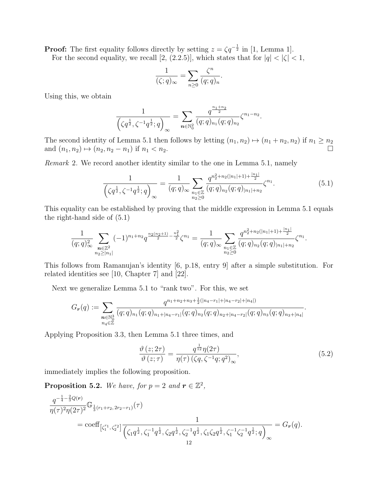**Proof:** The first equality follows directly by setting  $z = \zeta q^{-\frac{1}{2}}$  in [1, Lemma 1].

For the second equality, we recall [2, (2.2.5)], which states that for  $|q| < |\zeta| < 1$ ,

$$
\frac{1}{(\zeta;q)_{\infty}} = \sum_{n\geq 0} \frac{\zeta^n}{(q;q)_n}.
$$

Using this, we obtain

$$
\frac{1}{\left(\zeta q^{\frac{1}{2}},\zeta^{-1}q^{\frac{1}{2}};q\right)_{\infty}}=\sum_{n\in\mathbb{N}_{0}^{2}}\frac{q^{\frac{n_{1}+n_{2}}{2}}}{(q;q)_{n_{1}}(q;q)_{n_{2}}}\zeta^{n_{1}-n_{2}}.
$$

The second identity of Lemma 5.1 then follows by letting  $(n_1, n_2) \mapsto (n_1 + n_2, n_2)$  if  $n_1 \ge n_2$ and  $(n_1, n_2) \mapsto (n_2, n_2 - n_1)$  if  $n_1 < n_2$ .

Remark 2. We record another identity similar to the one in Lemma 5.1, namely

$$
\frac{1}{\left(\zeta q^{\frac{1}{2}}, \zeta^{-1} q^{\frac{1}{2}}; q\right)} \approx \frac{1}{(q; q)_{\infty}} \sum_{\substack{n_1 \in \mathbb{Z} \\ n_2 \ge 0}} \frac{q^{n_2^2 + n_2(|n_1| + 1) + \frac{|n_1|}{2}}}{(q; q)_{n_2}(q; q)_{|n_1| + n_2}} \zeta^{n_1}.
$$
(5.1)

This equality can be established by proving that the middle expression in Lemma 5.1 equals the right-hand side of (5.1)

$$
\frac{1}{(q;q)^2_{\infty}}\sum_{\substack{\mathbf{n}\in\mathbb{Z}^2\\ n_2\geq |n_1|}}(-1)^{n_1+n_2}q^{\frac{n_2(n_2+1)}{2}-\frac{n_1^2}{2}}\zeta^{n_1}=\frac{1}{(q;q)_{\infty}}\sum_{\substack{n_1\in\mathbb{Z}\\ n_2\geq 0}}\frac{q^{n_2^2+n_2(|n_1|+1)+\frac{|n_1|}{2}}}{(q;q)_{n_2}(q;q)_{|n_1|+n_2}}\zeta^{n_1}.
$$

This follows from Ramanujan's identity [6, p.18, entry 9] after a simple substitution. For related identities see [10, Chapter 7] and [22].

Next we generalize Lemma 5.1 to "rank two". For this, we set

$$
G_{\boldsymbol{r}}(q) := \sum_{\substack{\boldsymbol{n} \in \mathbb{N}_0^3 \\ n_4 \in \mathbb{Z}}} \frac{q^{n_1 + n_2 + n_3 + \frac{1}{2}(|n_4 - r_1| + |n_4 - r_2| + |n_4|)}}{(q; q)_{n_1 + |n_4 - r_1|} (q; q)_{n_2} (q; q)_{n_2 + |n_4 - r_2|} (q; q)_{n_3} (q; q)_{n_3 + |n_4|}}.
$$

Applying Proposition 3.3, then Lemma 5.1 three times, and

$$
\frac{\vartheta\left(z;2\tau\right)}{\vartheta\left(z;\tau\right)} = \frac{q^{\frac{1}{12}}\eta(2\tau)}{\eta(\tau)\left(\zeta q,\zeta^{-1}q;q^2\right)_{\infty}},\tag{5.2}
$$

immediately implies the following proposition.

**Proposition 5.2.** We have, for  $p = 2$  and  $r \in \mathbb{Z}^2$ ,

$$
\frac{q^{-\frac{1}{4}-\frac{2}{3}Q(r)}}{\eta(\tau)^2 \eta(2\tau)^2} \mathbb{G}_{\frac{1}{3}(r_1+r_2,2r_2-r_1)}(\tau)
$$
\n
$$
= \text{coeff}_{\left[\zeta_1^{r_1},\zeta_2^{r_2}\right]} \frac{1}{\left(\zeta_1 q^{\frac{1}{2}},\zeta_1^{-1} q^{\frac{1}{2}},\zeta_2 q^{\frac{1}{2}},\zeta_2^{-1} q^{\frac{1}{2}},\zeta_1 \zeta_2 q^{\frac{1}{2}},\zeta_1^{-1} \zeta_2^{-1} q^{\frac{1}{2}};q\right)_{\infty}} = G_r(q).
$$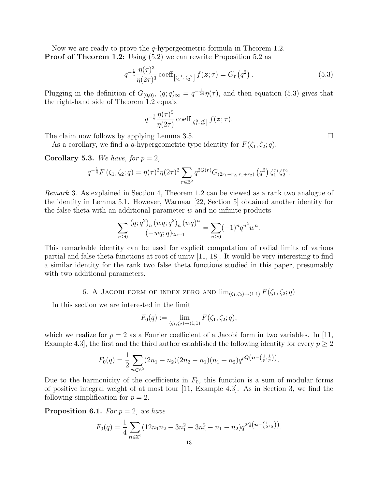Now we are ready to prove the  $q$ -hypergeometric formula in Theorem 1.2. **Proof of Theorem 1.2:** Using  $(5.2)$  we can rewrite Proposition 5.2 as

$$
q^{-\frac{1}{4}} \frac{\eta(\tau)^3}{\eta(2\tau)^3} \operatorname{coeff}_{\left[\zeta_1^{r_1}, \zeta_2^{r_2}\right]} f(\boldsymbol{z}; \tau) = G_r(q^2) \,. \tag{5.3}
$$

Plugging in the definition of  $G_{(0,0)}$ ,  $(q;q)_{\infty} = q^{-\frac{1}{24}}\eta(\tau)$ , and then equation (5.3) gives that the right-hand side of Theorem 1.2 equals

$$
q^{-\frac{1}{2}}\frac{\eta(\tau)^5}{\eta(2\tau)}\operatorname{coeff}_{\left[\zeta_1^0,\,\zeta_2^0\right]}f({\bm z};\tau).
$$

The claim now follows by applying Lemma 3.5.

As a corollary, we find a q-hypergeometric type identity for  $F(\zeta_1, \zeta_2; q)$ .

Corollary 5.3. We have, for  $p = 2$ ,

$$
q^{-\frac{1}{4}}F(\zeta_1,\zeta_2;q)=\eta(\tau)^2\eta(2\tau)^2\sum_{r\in\mathbb{Z}^2}q^{2Q(r)}G_{(2r_1-r_2,r_1+r_2)}(q^2)\zeta_1^{r_1}\zeta_2^{r_2}.
$$

Remark 3. As explained in Section 4, Theorem 1.2 can be viewed as a rank two analogue of the identity in Lemma 5.1. However, Warnaar [22, Section 5] obtained another identity for the false theta with an additional parameter  $w$  and no infinite products

$$
\sum_{n\geq 0} \frac{(q;q^2)_n (wq;q^2)_n (wq)^n}{(-wq;q)_{2n+1}} = \sum_{n\geq 0} (-1)^n q^{n^2} w^n.
$$

This remarkable identity can be used for explicit computation of radial limits of various partial and false theta functions at root of unity [11, 18]. It would be very interesting to find a similar identity for the rank two false theta functions studied in this paper, presumably with two additional parameters.

6. A JACOBI FORM OF INDEX ZERO AND  $\lim_{(\zeta_1,\zeta_2)\to(1,1)} F(\zeta_1,\zeta_2;q)$ 

In this section we are interested in the limit

$$
F_0(q) := \lim_{(\zeta_1, \zeta_2) \to (1,1)} F(\zeta_1, \zeta_2; q),
$$

which we realize for  $p = 2$  as a Fourier coefficient of a Jacobi form in two variables. In [11, Example 4.3, the first and the third author established the following identity for every  $p \geq 2$ 

$$
F_0(q) = \frac{1}{2} \sum_{n \in \mathbb{Z}^2} (2n_1 - n_2)(2n_2 - n_1)(n_1 + n_2) q^{pQ(n - \left(\frac{1}{p}, \frac{1}{p}\right))}.
$$

Due to the harmonicity of the coefficients in  $F_0$ , this function is a sum of modular forms of positive integral weight of at most four [11, Example 4.3]. As in Section 3, we find the following simplification for  $p = 2$ .

**Proposition 6.1.** For  $p = 2$ , we have

$$
F_0(q) = \frac{1}{4} \sum_{n \in \mathbb{Z}^2} (12n_1n_2 - 3n_1^2 - 3n_2^2 - n_1 - n_2) q^{2Q(n - (\frac{1}{2}, \frac{1}{2}))}.
$$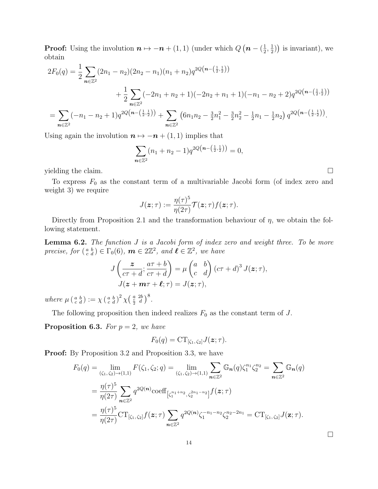**Proof:** Using the involution  $n \mapsto -n + (1, 1)$  (under which  $Q(n - \frac{1}{2})$  $\frac{1}{2}, \frac{1}{2}$  $(\frac{1}{2})$  is invariant), we obtain

$$
2F_0(q) = \frac{1}{2} \sum_{n \in \mathbb{Z}^2} (2n_1 - n_2)(2n_2 - n_1)(n_1 + n_2)q^{2Q(n - (\frac{1}{2}, \frac{1}{2}))}
$$
  
+ 
$$
\frac{1}{2} \sum_{n \in \mathbb{Z}^2} (-2n_1 + n_2 + 1)(-2n_2 + n_1 + 1)(-n_1 - n_2 + 2)q^{2Q(n - (\frac{1}{2}, \frac{1}{2}))}
$$
  
= 
$$
\sum_{n \in \mathbb{Z}^2} (-n_1 - n_2 + 1)q^{2Q(n - (\frac{1}{2}, \frac{1}{2}))} + \sum_{n \in \mathbb{Z}^2} (6n_1n_2 - \frac{3}{2}n_1^2 - \frac{3}{2}n_2^2 - \frac{1}{2}n_1 - \frac{1}{2}n_2) q^{2Q(n - (\frac{1}{2}, \frac{1}{2}))}.
$$

Using again the involution  $n \mapsto -n + (1, 1)$  implies that

$$
\sum_{n \in \mathbb{Z}^2} (n_1 + n_2 - 1) q^{2Q(n - (\frac{1}{2}, \frac{1}{2}))} = 0,
$$

yielding the claim.  $\Box$ 

To express  $F_0$  as the constant term of a multivariable Jacobi form (of index zero and weight 3) we require

$$
J(\boldsymbol{z};\tau):=\frac{\eta(\tau)^5}{\eta(2\tau)}\mathcal{T}(\boldsymbol{z};\tau)f(\boldsymbol{z};\tau).
$$

Directly from Proposition 2.1 and the transformation behaviour of  $\eta$ , we obtain the following statement.

Lemma 6.2. The function J is a Jacobi form of index zero and weight three. To be more precise, for  $\left(\begin{smallmatrix} a & b \\ c & d \end{smallmatrix}\right) \in \Gamma_0(6)$ ,  $m \in 2\mathbb{Z}^2$ , and  $\ell \in \mathbb{Z}^2$ , we have

$$
J\left(\frac{z}{c\tau+d};\frac{a\tau+b}{c\tau+d}\right) = \mu\begin{pmatrix} a & b \\ c & d \end{pmatrix} (c\tau+d)^3 J(z;\tau),
$$
  

$$
J(z+m\tau+\ell;\tau) = J(z;\tau),
$$

where  $\mu\left(\begin{smallmatrix} a & b \\ c & d \end{smallmatrix}\right) := \chi\left(\begin{smallmatrix} a & b \\ c & d \end{smallmatrix}\right)^2 \chi\left(\begin{smallmatrix} a & 2b \\ \frac{c}{2} & d \end{smallmatrix}\right)^8$ .

The following proposition then indeed realizes  $F_0$  as the constant term of  $J$ .

**Proposition 6.3.** For  $p = 2$ , we have

$$
F_0(q) = \mathrm{CT}_{[\zeta_1,\,\zeta_2]} J(\boldsymbol{z};\tau).
$$

**Proof:** By Proposition 3.2 and Proposition 3.3, we have

$$
F_0(q) = \lim_{(\zeta_1, \zeta_2) \to (1,1)} F(\zeta_1, \zeta_2; q) = \lim_{(\zeta_1, \zeta_2) \to (1,1)} \sum_{n \in \mathbb{Z}^2} \mathbb{G}_n(q) \zeta_1^{n_1} \zeta_2^{n_2} = \sum_{n \in \mathbb{Z}^2} \mathbb{G}_n(q)
$$
  
= 
$$
\frac{\eta(\tau)^5}{\eta(2\tau)} \sum_{n \in \mathbb{Z}^2} q^{2Q(n)} \text{coeff}_{\left[\zeta_1^{n_1+n_2}, \zeta_2^{2n_1-n_2}\right]} f(z; \tau)
$$
  
= 
$$
\frac{\eta(\tau)^5}{\eta(2\tau)} \text{CT}_{\left[\zeta_1, \zeta_2\right]} f(z; \tau) \sum_{n \in \mathbb{Z}^2} q^{2Q(n)} \zeta_1^{-n_1-n_2} \zeta_2^{n_2-2n_1} = \text{CT}_{\left[\zeta_1, \zeta_2\right]} J(z; \tau).
$$

 $\Box$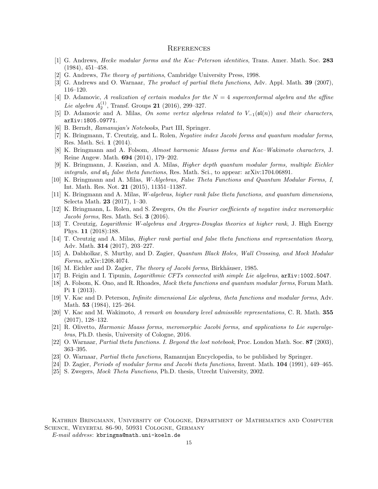#### **REFERENCES**

- [1] G. Andrews, *Hecke modular forms and the Kac–Peterson identities*, Trans. Amer. Math. Soc. 283 (1984), 451–458.
- [2] G. Andrews, The theory of partitions, Cambridge University Press, 1998.
- [3] G. Andrews and O. Warnaar, *The product of partial theta functions*, Adv. Appl. Math. **39** (2007), 116–120.
- [4] D. Adamovic, A realization of certain modules for the  $N = 4$  superconformal algebra and the affine *Lie algebra*  $A_2^{(1)}$ , Transf. Groups **21** (2016), 299–327.
- [5] D. Adamovic and A. Milas, On some vertex algebras related to  $V_{-1}(\mathfrak{sl}(n))$  and their characters, arXiv:1805.09771.
- [6] B. Berndt, Ramanujan's Notebooks, Part III, Springer.
- [7] K. Bringmann, T. Creutzig, and L. Rolen, Negative index Jacobi forms and quantum modular forms, Res. Math. Sci. 1 (2014).
- [8] K. Bringmann and A. Folsom, Almost harmonic Maass forms and Kac–Wakimoto characters, J. Reine Angew. Math. 694 (2014), 179–202.
- [9] K. Bringmann, J. Kaszian, and A. Milas, Higher depth quantum modular forms, multiple Eichler integrals, and  $\mathfrak{sl}_3$  false theta functions, Res. Math. Sci., to appear: arXiv:1704.06891.
- [10] K. Bringmann and A. Milas, W-Algebras, False Theta Functions and Quantum Modular Forms, I, Int. Math. Res. Not. 21 (2015), 11351–11387.
- [11] K. Bringmann and A. Milas, W-algebras, higher rank false theta functions, and quantum dimensions, Selecta Math. 23 (2017), 1–30.
- [12] K. Bringmann, L. Rolen, and S. Zwegers, On the Fourier coefficients of negative index meromorphic Jacobi forms, Res. Math. Sci. 3 (2016).
- [13] T. Creutzig, Logarithmic W-algebras and Argyres-Douglas theories at higher rank, J. High Energy Phys. 11 (2018):188.
- [14] T. Creutzig and A. Milas, Higher rank partial and false theta functions and representation theory, Adv. Math. 314 (2017), 203–227.
- [15] A. Dabholkar, S. Murthy, and D. Zagier, *Quantum Black Holes, Wall Crossing, and Mock Modular* Forms, arXiv:1208.4074.
- [16] M. Eichler and D. Zagier, *The theory of Jacobi forms*, Birkhäuser, 1985.
- [17] B. Feigin and I. Tipunin, *Logarithmic CFTs connected with simple Lie algebras*,  $arXiv: 1002.5047$ .
- [18] A. Folsom, K. Ono, and R. Rhoades, Mock theta functions and quantum modular forms, Forum Math. Pi 1 (2013).
- [19] V. Kac and D. Peterson, Infinite dimensional Lie algebras, theta functions and modular forms, Adv. Math. 53 (1984), 125–264.
- [20] V. Kac and M. Wakimoto, A remark on boundary level admissible representations, C. R. Math. 355 (2017), 128–132.
- [21] R. Olivetto, Harmonic Maass forms, meromorphic Jacobi forms, and applications to Lie superalgebras, Ph.D. thesis, University of Cologne, 2016.
- [22] O. Warnaar, *Partial theta functions. I. Beyond the lost notebook*, Proc. London Math. Soc. 87 (2003), 363–395.
- [23] O. Warnaar, Partial theta functions, Ramanujan Encyclopedia, to be published by Springer.
- [24] D. Zagier, *Periods of modular forms and Jacobi theta functions*, Invent. Math. **104** (1991), 449–465.
- [25] S. Zwegers, Mock Theta Functions, Ph.D. thesis, Utrecht University, 2002.

Kathrin Bringmann, University of Cologne, Department of Mathematics and Computer Science, Weyertal 86-90, 50931 Cologne, Germany

E-mail address: kbringma@math.uni-koeln.de